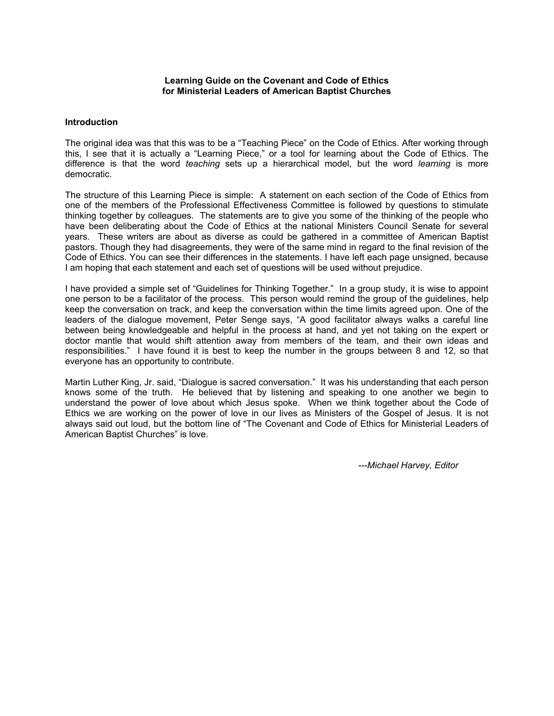#### **Learning Guide on the Covenant and Code of Ethics for Ministerial Leaders of American Baptist Churches**

### **Introduction**

The original idea was that this was to be a "Teaching Piece" on the Code of Ethics. After working through this, I see that it is actually a "Learning Piece," or a tool for learning about the Code of Ethics. The difference is that the word *teaching* sets up a hierarchical model, but the word *learning* is more democratic.

The structure of this Learning Piece is simple: A statement on each section of the Code of Ethics from one of the members of the Professional Effectiveness Committee is followed by questions to stimulate thinking together by colleagues. The statements are to give you some of the thinking of the people who have been deliberating about the Code of Ethics at the national Ministers Council Senate for several years. These writers are about as diverse as could be gathered in a committee of American Baptist pastors. Though they had disagreements, they were of the same mind in regard to the final revision of the Code of Ethics. You can see their differences in the statements. I have left each page unsigned, because I am hoping that each statement and each set of questions will be used without prejudice.

I have provided a simple set of "Guidelines for Thinking Together." In a group study, it is wise to appoint one person to be a facilitator of the process. This person would remind the group of the guidelines, help keep the conversation on track, and keep the conversation within the time limits agreed upon. One of the leaders of the dialogue movement, Peter Senge says, "A good facilitator always walks a careful line between being knowledgeable and helpful in the process at hand, and yet not taking on the expert or doctor mantle that would shift attention away from members of the team, and their own ideas and responsibilities." I have found it is best to keep the number in the groups between 8 and 12, so that everyone has an opportunity to contribute.

Martin Luther King, Jr. said, "Dialogue is sacred conversation." It was his understanding that each person knows some of the truth. He believed that by listening and speaking to one another we begin to understand the power of love about which Jesus spoke. When we think together about the Code of Ethics we are working on the power of love in our lives as Ministers of the Gospel of Jesus. It is not always said out loud, but the bottom line of "The Covenant and Code of Ethics for Ministerial Leaders of American Baptist Churches" is love.

*---Michael Harvey, Editor*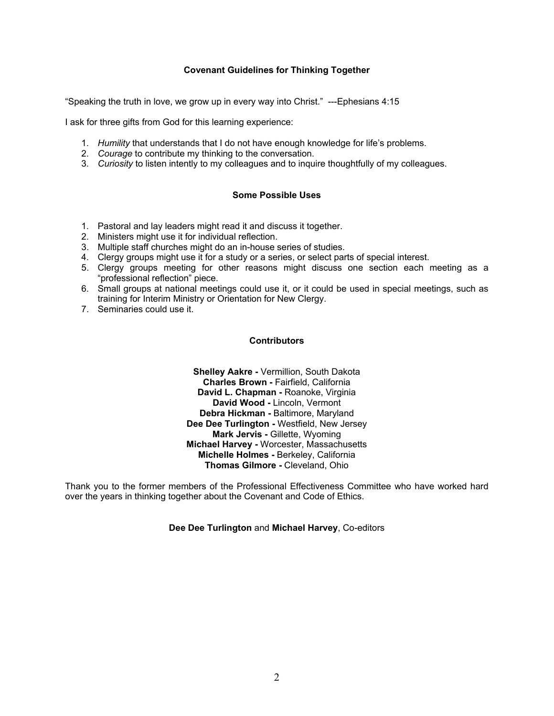# **Covenant Guidelines for Thinking Together**

"Speaking the truth in love, we grow up in every way into Christ." ---Ephesians 4:15

I ask for three gifts from God for this learning experience:

- 1. *Humility* that understands that I do not have enough knowledge for life's problems.
- 2. *Courage* to contribute my thinking to the conversation.
- 3. *Curiosity* to listen intently to my colleagues and to inquire thoughtfully of my colleagues.

## **Some Possible Uses**

- 1. Pastoral and lay leaders might read it and discuss it together.
- 2. Ministers might use it for individual reflection.
- 3. Multiple staff churches might do an in-house series of studies.
- 4. Clergy groups might use it for a study or a series, or select parts of special interest.
- 5. Clergy groups meeting for other reasons might discuss one section each meeting as a "professional reflection" piece.
- 6. Small groups at national meetings could use it, or it could be used in special meetings, such as training for Interim Ministry or Orientation for New Clergy.
- 7. Seminaries could use it.

#### **Contributors**

**Shelley Aakre -** Vermillion, South Dakota **Charles Brown -** Fairfield, California **David L. Chapman -** Roanoke, Virginia **David Wood -** Lincoln, Vermont **Debra Hickman -** Baltimore, Maryland **Dee Dee Turlington -** Westfield, New Jersey **Mark Jervis -** Gillette, Wyoming **Michael Harvey -** Worcester, Massachusetts **Michelle Holmes -** Berkeley, California **Thomas Gilmore -** Cleveland, Ohio

Thank you to the former members of the Professional Effectiveness Committee who have worked hard over the years in thinking together about the Covenant and Code of Ethics.

**Dee Dee Turlington** and **Michael Harvey**, Co-editors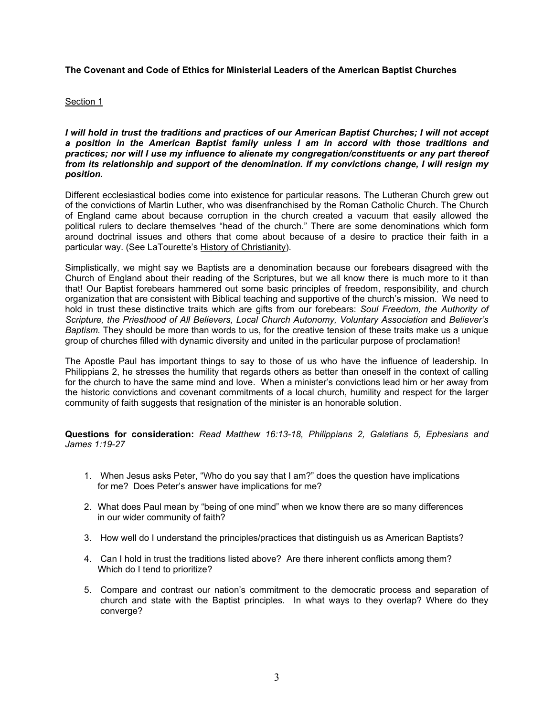### Section 1

*I will hold in trust the traditions and practices of our American Baptist Churches; I will not accept a position in the American Baptist family unless I am in accord with those traditions and practices; nor will I use my influence to alienate my congregation/constituents or any part thereof from its relationship and support of the denomination. If my convictions change, I will resign my position.*

Different ecclesiastical bodies come into existence for particular reasons. The Lutheran Church grew out of the convictions of Martin Luther, who was disenfranchised by the Roman Catholic Church. The Church of England came about because corruption in the church created a vacuum that easily allowed the political rulers to declare themselves "head of the church." There are some denominations which form around doctrinal issues and others that come about because of a desire to practice their faith in a particular way. (See LaTourette's History of Christianity).

Simplistically, we might say we Baptists are a denomination because our forebears disagreed with the Church of England about their reading of the Scriptures, but we all know there is much more to it than that! Our Baptist forebears hammered out some basic principles of freedom, responsibility, and church organization that are consistent with Biblical teaching and supportive of the church's mission. We need to hold in trust these distinctive traits which are gifts from our forebears: *Soul Freedom, the Authority of Scripture, the Priesthood of All Believers, Local Church Autonomy, Voluntary Association* and *Believer's Baptism.* They should be more than words to us, for the creative tension of these traits make us a unique group of churches filled with dynamic diversity and united in the particular purpose of proclamation!

The Apostle Paul has important things to say to those of us who have the influence of leadership. In Philippians 2, he stresses the humility that regards others as better than oneself in the context of calling for the church to have the same mind and love. When a minister's convictions lead him or her away from the historic convictions and covenant commitments of a local church, humility and respect for the larger community of faith suggests that resignation of the minister is an honorable solution.

**Questions for consideration:** *Read Matthew 16:13-18, Philippians 2, Galatians 5, Ephesians and James 1:19-27* 

- 1. When Jesus asks Peter, "Who do you say that I am?" does the question have implications for me? Does Peter's answer have implications for me?
- 2. What does Paul mean by "being of one mind" when we know there are so many differences in our wider community of faith?
- 3. How well do I understand the principles/practices that distinguish us as American Baptists?
- 4. Can I hold in trust the traditions listed above? Are there inherent conflicts among them? Which do I tend to prioritize?
- 5. Compare and contrast our nation's commitment to the democratic process and separation of church and state with the Baptist principles. In what ways to they overlap? Where do they converge?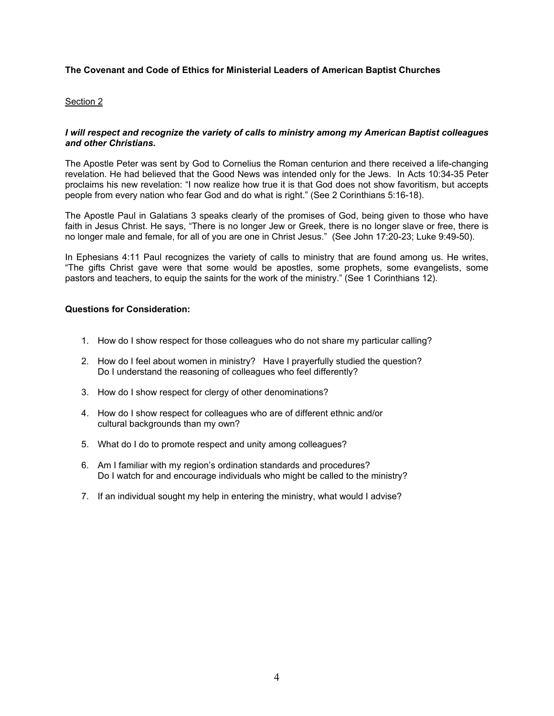## Section 2

# *I will respect and recognize the variety of calls to ministry among my American Baptist colleagues and other Christians.*

The Apostle Peter was sent by God to Cornelius the Roman centurion and there received a life-changing revelation. He had believed that the Good News was intended only for the Jews. In Acts 10:34-35 Peter proclaims his new revelation: "I now realize how true it is that God does not show favoritism, but accepts people from every nation who fear God and do what is right." (See 2 Corinthians 5:16-18).

The Apostle Paul in Galatians 3 speaks clearly of the promises of God, being given to those who have faith in Jesus Christ. He says, "There is no longer Jew or Greek, there is no longer slave or free, there is no longer male and female, for all of you are one in Christ Jesus." (See John 17:20-23; Luke 9:49-50).

In Ephesians 4:11 Paul recognizes the variety of calls to ministry that are found among us. He writes, "The gifts Christ gave were that some would be apostles, some prophets, some evangelists, some pastors and teachers, to equip the saints for the work of the ministry." (See 1 Corinthians 12).

- 1. How do I show respect for those colleagues who do not share my particular calling?
- 2. How do I feel about women in ministry? Have I prayerfully studied the question? Do I understand the reasoning of colleagues who feel differently?
- 3. How do I show respect for clergy of other denominations?
- 4. How do I show respect for colleagues who are of different ethnic and/or cultural backgrounds than my own?
- 5. What do I do to promote respect and unity among colleagues?
- 6. Am I familiar with my region's ordination standards and procedures? Do I watch for and encourage individuals who might be called to the ministry?
- 7. If an individual sought my help in entering the ministry, what would I advise?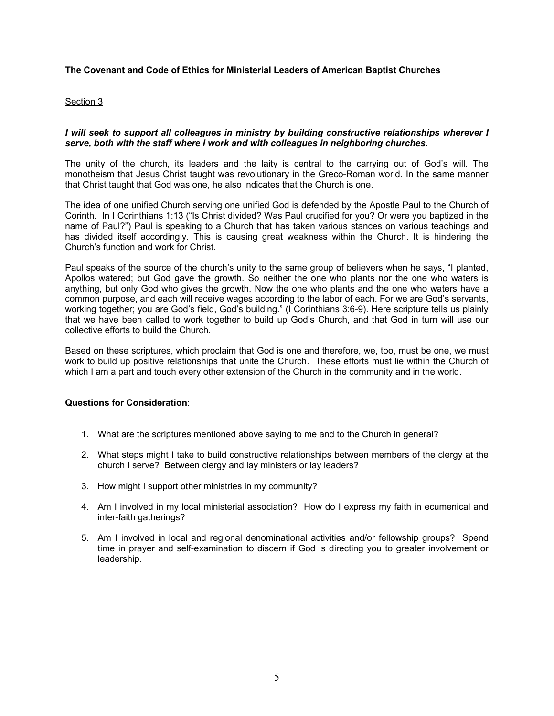## Section 3

# *I will seek to support all colleagues in ministry by building constructive relationships wherever I serve, both with the staff where I work and with colleagues in neighboring churches.*

The unity of the church, its leaders and the laity is central to the carrying out of God's will. The monotheism that Jesus Christ taught was revolutionary in the Greco-Roman world. In the same manner that Christ taught that God was one, he also indicates that the Church is one.

The idea of one unified Church serving one unified God is defended by the Apostle Paul to the Church of Corinth. In I Corinthians 1:13 ("Is Christ divided? Was Paul crucified for you? Or were you baptized in the name of Paul?") Paul is speaking to a Church that has taken various stances on various teachings and has divided itself accordingly. This is causing great weakness within the Church. It is hindering the Church's function and work for Christ.

Paul speaks of the source of the church's unity to the same group of believers when he says, "I planted, Apollos watered; but God gave the growth. So neither the one who plants nor the one who waters is anything, but only God who gives the growth. Now the one who plants and the one who waters have a common purpose, and each will receive wages according to the labor of each. For we are God's servants, working together; you are God's field, God's building." (I Corinthians 3:6-9). Here scripture tells us plainly that we have been called to work together to build up God's Church, and that God in turn will use our collective efforts to build the Church.

Based on these scriptures, which proclaim that God is one and therefore, we, too, must be one, we must work to build up positive relationships that unite the Church. These efforts must lie within the Church of which I am a part and touch every other extension of the Church in the community and in the world.

- 1. What are the scriptures mentioned above saying to me and to the Church in general?
- 2. What steps might I take to build constructive relationships between members of the clergy at the church I serve? Between clergy and lay ministers or lay leaders?
- 3. How might I support other ministries in my community?
- 4. Am I involved in my local ministerial association? How do I express my faith in ecumenical and inter-faith gatherings?
- 5. Am I involved in local and regional denominational activities and/or fellowship groups? Spend time in prayer and self-examination to discern if God is directing you to greater involvement or leadership.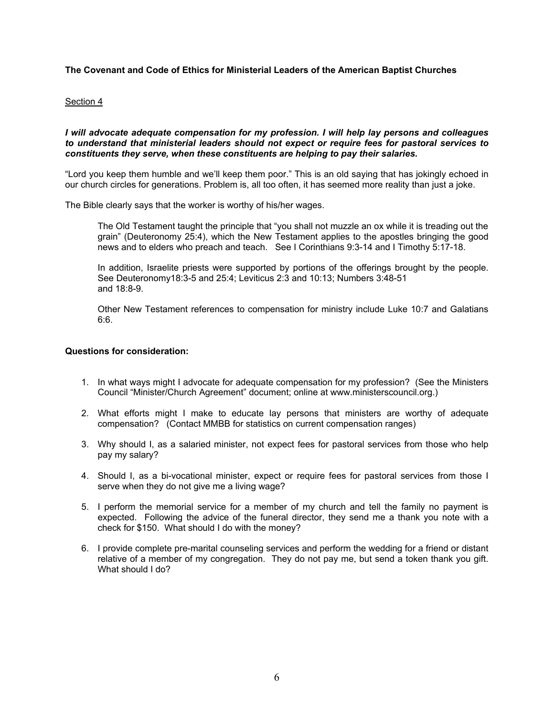### Section 4

### *I will advocate adequate compensation for my profession. I will help lay persons and colleagues to understand that ministerial leaders should not expect or require fees for pastoral services to constituents they serve, when these constituents are helping to pay their salaries.*

"Lord you keep them humble and we'll keep them poor." This is an old saying that has jokingly echoed in our church circles for generations. Problem is, all too often, it has seemed more reality than just a joke.

The Bible clearly says that the worker is worthy of his/her wages.

The Old Testament taught the principle that "you shall not muzzle an ox while it is treading out the grain" (Deuteronomy 25:4), which the New Testament applies to the apostles bringing the good news and to elders who preach and teach. See I Corinthians 9:3-14 and I Timothy 5:17-18.

In addition, Israelite priests were supported by portions of the offerings brought by the people. See Deuteronomy18:3-5 and 25:4; Leviticus 2:3 and 10:13; Numbers 3:48-51 and 18:8-9.

Other New Testament references to compensation for ministry include Luke 10:7 and Galatians 6:6.

- 1. In what ways might I advocate for adequate compensation for my profession? (See the Ministers Council "Minister/Church Agreement" document; online at www.ministerscouncil.org.)
- 2. What efforts might I make to educate lay persons that ministers are worthy of adequate compensation? (Contact MMBB for statistics on current compensation ranges)
- 3. Why should I, as a salaried minister, not expect fees for pastoral services from those who help pay my salary?
- 4. Should I, as a bi-vocational minister, expect or require fees for pastoral services from those I serve when they do not give me a living wage?
- 5. I perform the memorial service for a member of my church and tell the family no payment is expected. Following the advice of the funeral director, they send me a thank you note with a check for \$150. What should I do with the money?
- 6. I provide complete pre-marital counseling services and perform the wedding for a friend or distant relative of a member of my congregation. They do not pay me, but send a token thank you gift. What should I do?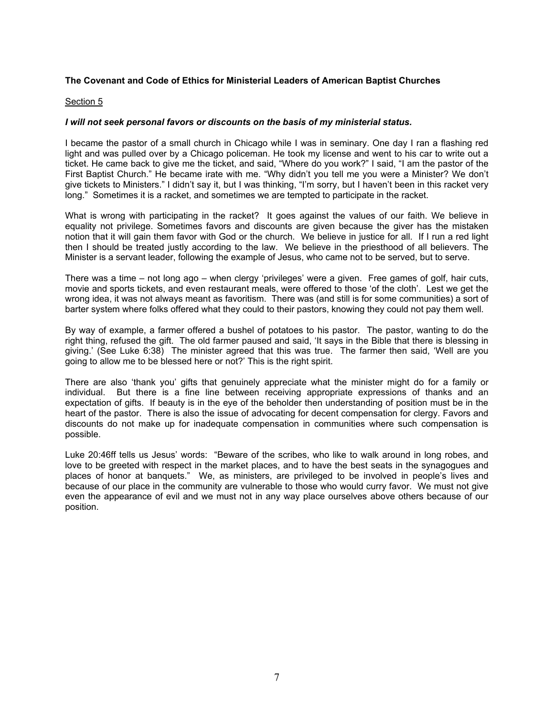#### Section 5

### *I will not seek personal favors or discounts on the basis of my ministerial status.*

I became the pastor of a small church in Chicago while I was in seminary. One day I ran a flashing red light and was pulled over by a Chicago policeman. He took my license and went to his car to write out a ticket. He came back to give me the ticket, and said, "Where do you work?" I said, "I am the pastor of the First Baptist Church." He became irate with me. "Why didn't you tell me you were a Minister? We don't give tickets to Ministers." I didn't say it, but I was thinking, "I'm sorry, but I haven't been in this racket very long." Sometimes it is a racket, and sometimes we are tempted to participate in the racket.

What is wrong with participating in the racket? It goes against the values of our faith. We believe in equality not privilege. Sometimes favors and discounts are given because the giver has the mistaken notion that it will gain them favor with God or the church. We believe in justice for all. If I run a red light then I should be treated justly according to the law. We believe in the priesthood of all believers. The Minister is a servant leader, following the example of Jesus, who came not to be served, but to serve.

There was a time – not long ago – when clergy 'privileges' were a given. Free games of golf, hair cuts, movie and sports tickets, and even restaurant meals, were offered to those 'of the cloth'. Lest we get the wrong idea, it was not always meant as favoritism. There was (and still is for some communities) a sort of barter system where folks offered what they could to their pastors, knowing they could not pay them well.

By way of example, a farmer offered a bushel of potatoes to his pastor. The pastor, wanting to do the right thing, refused the gift. The old farmer paused and said, 'It says in the Bible that there is blessing in giving.' (See Luke 6:38) The minister agreed that this was true. The farmer then said, 'Well are you going to allow me to be blessed here or not?' This is the right spirit.

There are also 'thank you' gifts that genuinely appreciate what the minister might do for a family or individual. But there is a fine line between receiving appropriate expressions of thanks and an expectation of gifts. If beauty is in the eye of the beholder then understanding of position must be in the heart of the pastor. There is also the issue of advocating for decent compensation for clergy. Favors and discounts do not make up for inadequate compensation in communities where such compensation is possible.

Luke 20:46ff tells us Jesus' words: "Beware of the scribes, who like to walk around in long robes, and love to be greeted with respect in the market places, and to have the best seats in the synagogues and places of honor at banquets." We, as ministers, are privileged to be involved in people's lives and because of our place in the community are vulnerable to those who would curry favor. We must not give even the appearance of evil and we must not in any way place ourselves above others because of our position.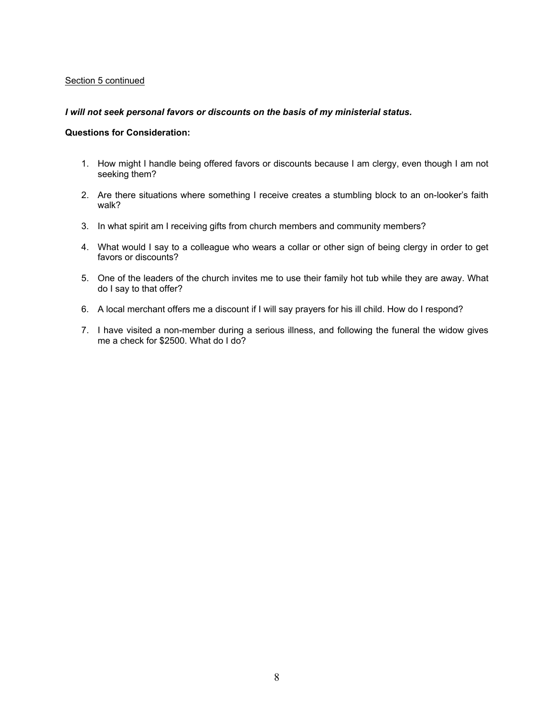### Section 5 continued

### *I will not seek personal favors or discounts on the basis of my ministerial status.*

- 1. How might I handle being offered favors or discounts because I am clergy, even though I am not seeking them?
- 2. Are there situations where something I receive creates a stumbling block to an on-looker's faith walk?
- 3. In what spirit am I receiving gifts from church members and community members?
- 4. What would I say to a colleague who wears a collar or other sign of being clergy in order to get favors or discounts?
- 5. One of the leaders of the church invites me to use their family hot tub while they are away. What do I say to that offer?
- 6. A local merchant offers me a discount if I will say prayers for his ill child. How do I respond?
- 7. I have visited a non-member during a serious illness, and following the funeral the widow gives me a check for \$2500. What do I do?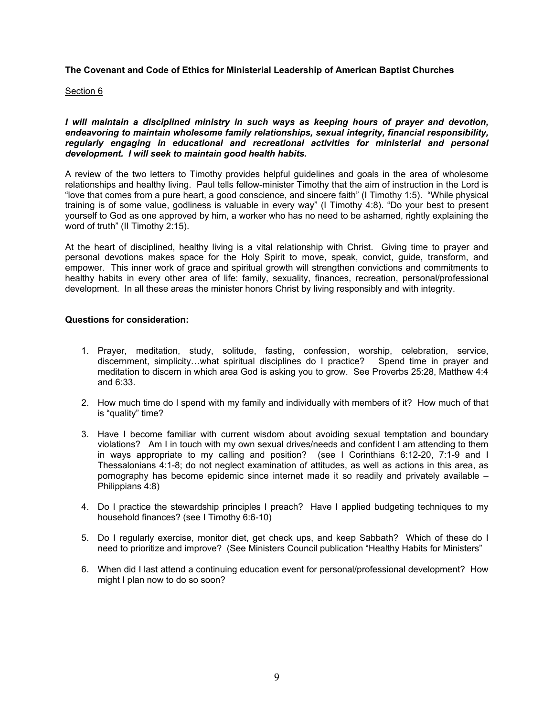#### Section 6

*I will maintain a disciplined ministry in such ways as keeping hours of prayer and devotion, endeavoring to maintain wholesome family relationships, sexual integrity, financial responsibility, regularly engaging in educational and recreational activities for ministerial and personal development. I will seek to maintain good health habits.* 

A review of the two letters to Timothy provides helpful guidelines and goals in the area of wholesome relationships and healthy living. Paul tells fellow-minister Timothy that the aim of instruction in the Lord is "love that comes from a pure heart, a good conscience, and sincere faith" (I Timothy 1:5). "While physical training is of some value, godliness is valuable in every way" (I Timothy 4:8). "Do your best to present yourself to God as one approved by him, a worker who has no need to be ashamed, rightly explaining the word of truth" (II Timothy 2:15).

At the heart of disciplined, healthy living is a vital relationship with Christ. Giving time to prayer and personal devotions makes space for the Holy Spirit to move, speak, convict, guide, transform, and empower. This inner work of grace and spiritual growth will strengthen convictions and commitments to healthy habits in every other area of life: family, sexuality, finances, recreation, personal/professional development. In all these areas the minister honors Christ by living responsibly and with integrity.

- 1. Prayer, meditation, study, solitude, fasting, confession, worship, celebration, service, discernment, simplicity…what spiritual disciplines do I practice? Spend time in prayer and meditation to discern in which area God is asking you to grow. See Proverbs 25:28, Matthew 4:4 and 6:33.
- 2. How much time do I spend with my family and individually with members of it? How much of that is "quality" time?
- 3. Have I become familiar with current wisdom about avoiding sexual temptation and boundary violations? Am I in touch with my own sexual drives/needs and confident I am attending to them in ways appropriate to my calling and position? (see I Corinthians 6:12-20, 7:1-9 and I Thessalonians 4:1-8; do not neglect examination of attitudes, as well as actions in this area, as pornography has become epidemic since internet made it so readily and privately available – Philippians 4:8)
- 4. Do I practice the stewardship principles I preach? Have I applied budgeting techniques to my household finances? (see I Timothy 6:6-10)
- 5. Do I regularly exercise, monitor diet, get check ups, and keep Sabbath? Which of these do I need to prioritize and improve? (See Ministers Council publication "Healthy Habits for Ministers"
- 6. When did I last attend a continuing education event for personal/professional development? How might I plan now to do so soon?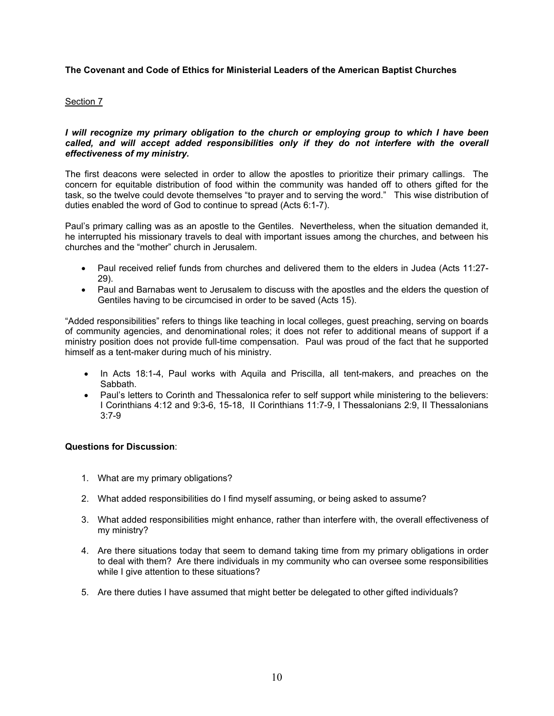# Section 7

## *I* will recognize my primary obligation to the church or employing group to which I have been *called, and will accept added responsibilities only if they do not interfere with the overall effectiveness of my ministry.*

The first deacons were selected in order to allow the apostles to prioritize their primary callings. The concern for equitable distribution of food within the community was handed off to others gifted for the task, so the twelve could devote themselves "to prayer and to serving the word." This wise distribution of duties enabled the word of God to continue to spread (Acts 6:1-7).

Paul's primary calling was as an apostle to the Gentiles. Nevertheless, when the situation demanded it, he interrupted his missionary travels to deal with important issues among the churches, and between his churches and the "mother" church in Jerusalem.

- Paul received relief funds from churches and delivered them to the elders in Judea (Acts 11:27- 29).
- Paul and Barnabas went to Jerusalem to discuss with the apostles and the elders the question of Gentiles having to be circumcised in order to be saved (Acts 15).

"Added responsibilities" refers to things like teaching in local colleges, guest preaching, serving on boards of community agencies, and denominational roles; it does not refer to additional means of support if a ministry position does not provide full-time compensation. Paul was proud of the fact that he supported himself as a tent-maker during much of his ministry.

- In Acts 18:1-4, Paul works with Aquila and Priscilla, all tent-makers, and preaches on the Sabbath.
- Paul's letters to Corinth and Thessalonica refer to self support while ministering to the believers: I Corinthians 4:12 and 9:3-6, 15-18, II Corinthians 11:7-9, I Thessalonians 2:9, II Thessalonians 3:7-9

## **Questions for Discussion**:

- 1. What are my primary obligations?
- 2. What added responsibilities do I find myself assuming, or being asked to assume?
- 3. What added responsibilities might enhance, rather than interfere with, the overall effectiveness of my ministry?
- 4. Are there situations today that seem to demand taking time from my primary obligations in order to deal with them? Are there individuals in my community who can oversee some responsibilities while I give attention to these situations?
- 5. Are there duties I have assumed that might better be delegated to other gifted individuals?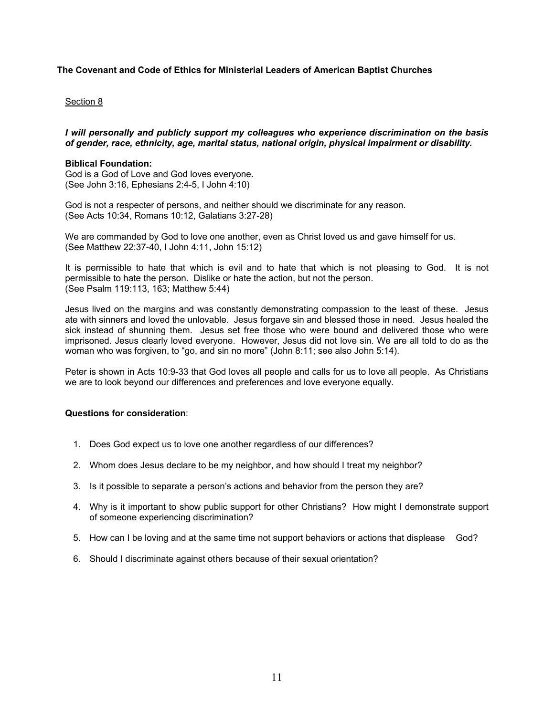### Section 8

*I will personally and publicly support my colleagues who experience discrimination on the basis of gender, race, ethnicity, age, marital status, national origin, physical impairment or disability.* 

#### **Biblical Foundation:**

God is a God of Love and God loves everyone. (See John 3:16, Ephesians 2:4-5, I John 4:10)

God is not a respecter of persons, and neither should we discriminate for any reason. (See Acts 10:34, Romans 10:12, Galatians 3:27-28)

We are commanded by God to love one another, even as Christ loved us and gave himself for us. (See Matthew 22:37-40, I John 4:11, John 15:12)

It is permissible to hate that which is evil and to hate that which is not pleasing to God. It is not permissible to hate the person. Dislike or hate the action, but not the person. (See Psalm 119:113, 163; Matthew 5:44)

Jesus lived on the margins and was constantly demonstrating compassion to the least of these. Jesus ate with sinners and loved the unlovable. Jesus forgave sin and blessed those in need. Jesus healed the sick instead of shunning them. Jesus set free those who were bound and delivered those who were imprisoned. Jesus clearly loved everyone. However, Jesus did not love sin. We are all told to do as the woman who was forgiven, to "go, and sin no more" (John 8:11; see also John 5:14).

Peter is shown in Acts 10:9-33 that God loves all people and calls for us to love all people. As Christians we are to look beyond our differences and preferences and love everyone equally.

- 1. Does God expect us to love one another regardless of our differences?
- 2. Whom does Jesus declare to be my neighbor, and how should I treat my neighbor?
- 3. Is it possible to separate a person's actions and behavior from the person they are?
- 4. Why is it important to show public support for other Christians? How might I demonstrate support of someone experiencing discrimination?
- 5. How can I be loving and at the same time not support behaviors or actions that displease God?
- 6. Should I discriminate against others because of their sexual orientation?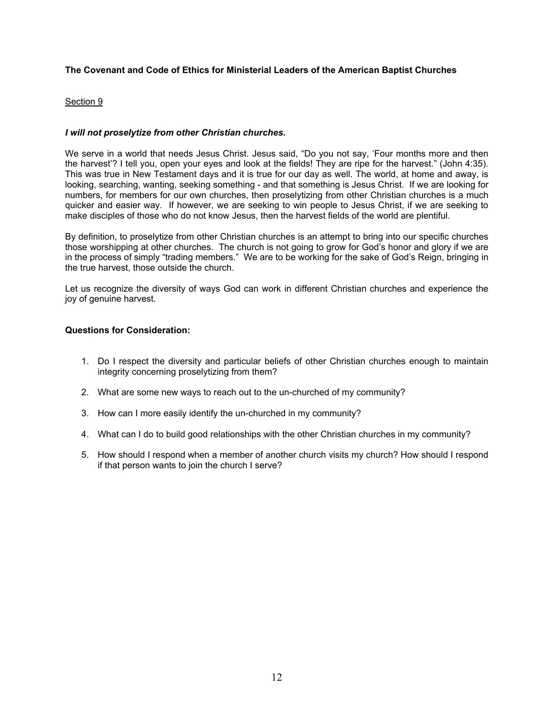# Section 9

# *I will not proselytize from other Christian churches.*

We serve in a world that needs Jesus Christ. Jesus said, "Do you not say, 'Four months more and then the harvest'? I tell you, open your eyes and look at the fields! They are ripe for the harvest." (John 4:35). This was true in New Testament days and it is true for our day as well. The world, at home and away, is looking, searching, wanting, seeking something - and that something is Jesus Christ. If we are looking for numbers, for members for our own churches, then proselytizing from other Christian churches is a much quicker and easier way. If however, we are seeking to win people to Jesus Christ, if we are seeking to make disciples of those who do not know Jesus, then the harvest fields of the world are plentiful.

By definition, to proselytize from other Christian churches is an attempt to bring into our specific churches those worshipping at other churches. The church is not going to grow for God's honor and glory if we are in the process of simply "trading members." We are to be working for the sake of God's Reign, bringing in the true harvest, those outside the church.

Let us recognize the diversity of ways God can work in different Christian churches and experience the joy of genuine harvest.

- 1. Do I respect the diversity and particular beliefs of other Christian churches enough to maintain integrity concerning proselytizing from them?
- 2. What are some new ways to reach out to the un-churched of my community?
- 3. How can I more easily identify the un-churched in my community?
- 4. What can I do to build good relationships with the other Christian churches in my community?
- 5. How should I respond when a member of another church visits my church? How should I respond if that person wants to join the church I serve?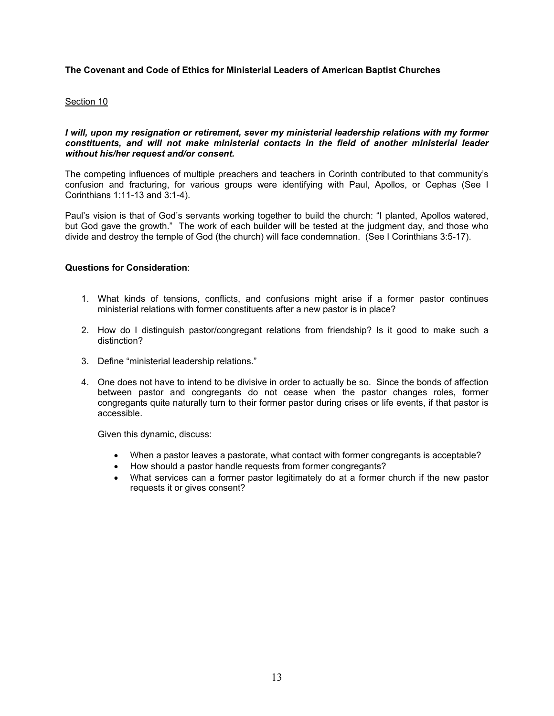## Section 10

### *I will, upon my resignation or retirement, sever my ministerial leadership relations with my former constituents, and will not make ministerial contacts in the field of another ministerial leader without his/her request and/or consent.*

The competing influences of multiple preachers and teachers in Corinth contributed to that community's confusion and fracturing, for various groups were identifying with Paul, Apollos, or Cephas (See I Corinthians 1:11-13 and 3:1-4).

Paul's vision is that of God's servants working together to build the church: "I planted, Apollos watered, but God gave the growth." The work of each builder will be tested at the judgment day, and those who divide and destroy the temple of God (the church) will face condemnation. (See I Corinthians 3:5-17).

# **Questions for Consideration**:

- 1. What kinds of tensions, conflicts, and confusions might arise if a former pastor continues ministerial relations with former constituents after a new pastor is in place?
- 2. How do I distinguish pastor/congregant relations from friendship? Is it good to make such a distinction?
- 3. Define "ministerial leadership relations."
- 4. One does not have to intend to be divisive in order to actually be so. Since the bonds of affection between pastor and congregants do not cease when the pastor changes roles, former congregants quite naturally turn to their former pastor during crises or life events, if that pastor is accessible.

Given this dynamic, discuss:

- When a pastor leaves a pastorate, what contact with former congregants is acceptable?
- How should a pastor handle requests from former congregants?
- What services can a former pastor legitimately do at a former church if the new pastor requests it or gives consent?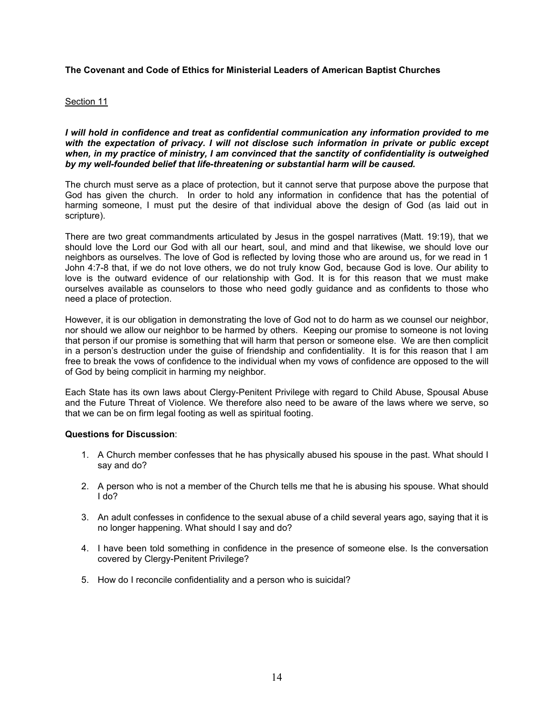### Section 11

*I will hold in confidence and treat as confidential communication any information provided to me with the expectation of privacy. I will not disclose such information in private or public except when, in my practice of ministry, I am convinced that the sanctity of confidentiality is outweighed by my well-founded belief that life-threatening or substantial harm will be caused.* 

The church must serve as a place of protection, but it cannot serve that purpose above the purpose that God has given the church. In order to hold any information in confidence that has the potential of harming someone, I must put the desire of that individual above the design of God (as laid out in scripture).

There are two great commandments articulated by Jesus in the gospel narratives (Matt. 19:19), that we should love the Lord our God with all our heart, soul, and mind and that likewise, we should love our neighbors as ourselves. The love of God is reflected by loving those who are around us, for we read in 1 John 4:7-8 that, if we do not love others, we do not truly know God, because God is love. Our ability to love is the outward evidence of our relationship with God. It is for this reason that we must make ourselves available as counselors to those who need godly guidance and as confidents to those who need a place of protection.

However, it is our obligation in demonstrating the love of God not to do harm as we counsel our neighbor, nor should we allow our neighbor to be harmed by others. Keeping our promise to someone is not loving that person if our promise is something that will harm that person or someone else. We are then complicit in a person's destruction under the guise of friendship and confidentiality. It is for this reason that I am free to break the vows of confidence to the individual when my vows of confidence are opposed to the will of God by being complicit in harming my neighbor.

Each State has its own laws about Clergy-Penitent Privilege with regard to Child Abuse, Spousal Abuse and the Future Threat of Violence. We therefore also need to be aware of the laws where we serve, so that we can be on firm legal footing as well as spiritual footing.

### **Questions for Discussion**:

- 1. A Church member confesses that he has physically abused his spouse in the past. What should I say and do?
- 2. A person who is not a member of the Church tells me that he is abusing his spouse. What should I do?
- 3. An adult confesses in confidence to the sexual abuse of a child several years ago, saying that it is no longer happening. What should I say and do?
- 4. I have been told something in confidence in the presence of someone else. Is the conversation covered by Clergy-Penitent Privilege?
- 5. How do I reconcile confidentiality and a person who is suicidal?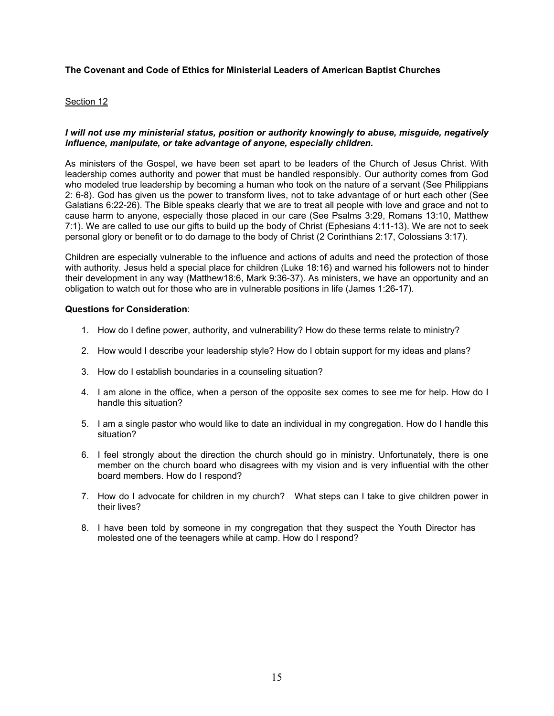## Section 12

# *I will not use my ministerial status, position or authority knowingly to abuse, misguide, negatively influence, manipulate, or take advantage of anyone, especially children.*

As ministers of the Gospel, we have been set apart to be leaders of the Church of Jesus Christ. With leadership comes authority and power that must be handled responsibly. Our authority comes from God who modeled true leadership by becoming a human who took on the nature of a servant (See Philippians 2: 6-8). God has given us the power to transform lives, not to take advantage of or hurt each other (See Galatians 6:22-26). The Bible speaks clearly that we are to treat all people with love and grace and not to cause harm to anyone, especially those placed in our care (See Psalms 3:29, Romans 13:10, Matthew 7:1). We are called to use our gifts to build up the body of Christ (Ephesians 4:11-13). We are not to seek personal glory or benefit or to do damage to the body of Christ (2 Corinthians 2:17, Colossians 3:17).

Children are especially vulnerable to the influence and actions of adults and need the protection of those with authority. Jesus held a special place for children (Luke 18:16) and warned his followers not to hinder their development in any way (Matthew18:6, Mark 9:36-37). As ministers, we have an opportunity and an obligation to watch out for those who are in vulnerable positions in life (James 1:26-17).

- 1. How do I define power, authority, and vulnerability? How do these terms relate to ministry?
- 2. How would I describe your leadership style? How do I obtain support for my ideas and plans?
- 3. How do I establish boundaries in a counseling situation?
- 4. I am alone in the office, when a person of the opposite sex comes to see me for help. How do I handle this situation?
- 5. I am a single pastor who would like to date an individual in my congregation. How do I handle this situation?
- 6. I feel strongly about the direction the church should go in ministry. Unfortunately, there is one member on the church board who disagrees with my vision and is very influential with the other board members. How do I respond?
- 7. How do I advocate for children in my church? What steps can I take to give children power in their lives?
- 8. I have been told by someone in my congregation that they suspect the Youth Director has molested one of the teenagers while at camp. How do I respond?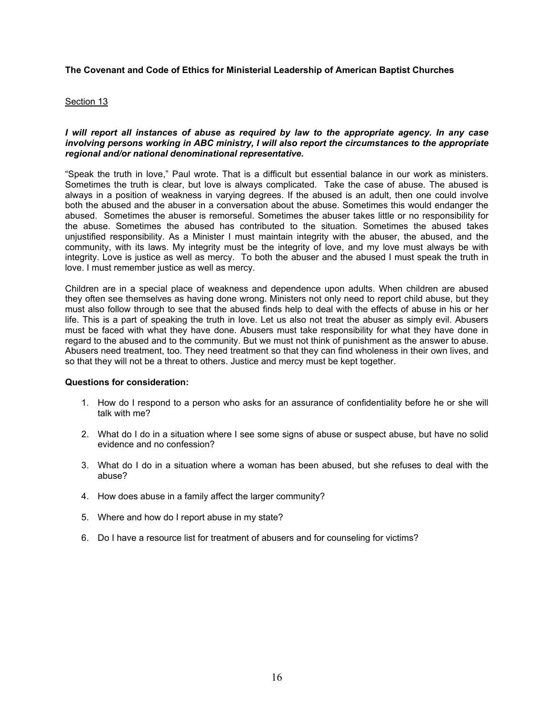### Section 13

### *I will report all instances of abuse as required by law to the appropriate agency. In any case involving persons working in ABC ministry, I will also report the circumstances to the appropriate regional and/or national denominational representative.*

"Speak the truth in love," Paul wrote. That is a difficult but essential balance in our work as ministers. Sometimes the truth is clear, but love is always complicated. Take the case of abuse. The abused is always in a position of weakness in varying degrees. If the abused is an adult, then one could involve both the abused and the abuser in a conversation about the abuse. Sometimes this would endanger the abused. Sometimes the abuser is remorseful. Sometimes the abuser takes little or no responsibility for the abuse. Sometimes the abused has contributed to the situation. Sometimes the abused takes unjustified responsibility. As a Minister I must maintain integrity with the abuser, the abused, and the community, with its laws. My integrity must be the integrity of love, and my love must always be with integrity. Love is justice as well as mercy. To both the abuser and the abused I must speak the truth in love. I must remember justice as well as mercy.

Children are in a special place of weakness and dependence upon adults. When children are abused they often see themselves as having done wrong. Ministers not only need to report child abuse, but they must also follow through to see that the abused finds help to deal with the effects of abuse in his or her life. This is a part of speaking the truth in love. Let us also not treat the abuser as simply evil. Abusers must be faced with what they have done. Abusers must take responsibility for what they have done in regard to the abused and to the community. But we must not think of punishment as the answer to abuse. Abusers need treatment, too. They need treatment so that they can find wholeness in their own lives, and so that they will not be a threat to others. Justice and mercy must be kept together.

- 1. How do I respond to a person who asks for an assurance of confidentiality before he or she will talk with me?
- 2. What do I do in a situation where I see some signs of abuse or suspect abuse, but have no solid evidence and no confession?
- 3. What do I do in a situation where a woman has been abused, but she refuses to deal with the abuse?
- 4. How does abuse in a family affect the larger community?
- 5. Where and how do I report abuse in my state?
- 6. Do I have a resource list for treatment of abusers and for counseling for victims?